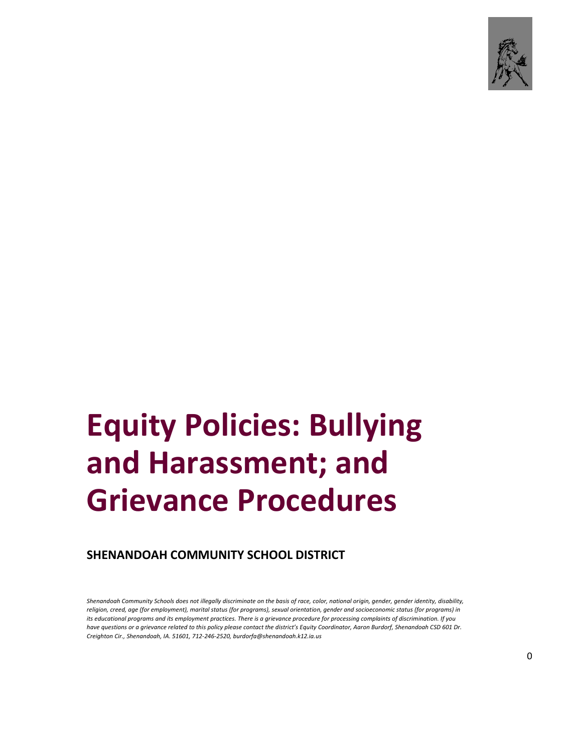

# **Equity Policies: Bullying and Harassment; and Grievance Procedures**

**SHENANDOAH COMMUNITY SCHOOL DISTRICT**

*Shenandoah Community Schools does not illegally discriminate on the basis of race, color, national origin, gender, gender identity, disability, religion, creed, age (for employment), marital status (for programs), sexual orientation, gender and socioeconomic status (for programs) in its educational programs and its employment practices. There is a grievance procedure for processing complaints of discrimination. If you have questions or a grievance related to this policy please contact the district's Equity Coordinator, Aaron Burdorf, Shenandoah CSD 601 Dr. Creighton Cir., Shenandoah, IA. 51601, 712-246-2520, burdorfa@shenandoah.k12.ia.us*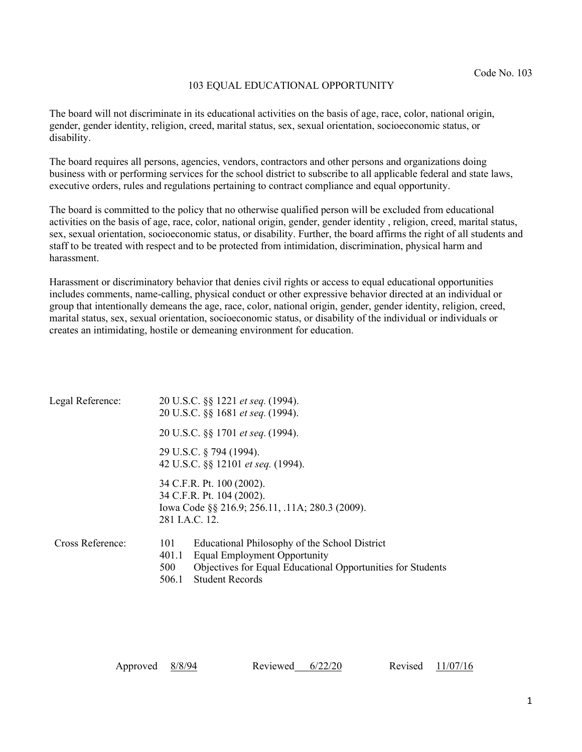## 103 EQUAL EDUCATIONAL OPPORTUNITY

The board will not discriminate in its educational activities on the basis of age, race, color, national origin, gender, gender identity, religion, creed, marital status, sex, sexual orientation, socioeconomic status, or disability.

The board requires all persons, agencies, vendors, contractors and other persons and organizations doing business with or performing services for the school district to subscribe to all applicable federal and state laws, executive orders, rules and regulations pertaining to contract compliance and equal opportunity.

The board is committed to the policy that no otherwise qualified person will be excluded from educational activities on the basis of age, race, color, national origin, gender, gender identity , religion, creed, marital status, sex, sexual orientation, socioeconomic status, or disability. Further, the board affirms the right of all students and staff to be treated with respect and to be protected from intimidation, discrimination, physical harm and harassment.

Harassment or discriminatory behavior that denies civil rights or access to equal educational opportunities includes comments, name-calling, physical conduct or other expressive behavior directed at an individual or group that intentionally demeans the age, race, color, national origin, gender, gender identity, religion, creed, marital status, sex, sexual orientation, socioeconomic status, or disability of the individual or individuals or creates an intimidating, hostile or demeaning environment for education.

| Legal Reference: | 20 U.S.C. §§ 1221 et seq. (1994).<br>20 U.S.C. §§ 1681 et seq. (1994).                                                                                                                                 |  |  |  |
|------------------|--------------------------------------------------------------------------------------------------------------------------------------------------------------------------------------------------------|--|--|--|
|                  | 20 U.S.C. §§ 1701 et seq. (1994).                                                                                                                                                                      |  |  |  |
|                  | 29 U.S.C. § 794 (1994).<br>42 U.S.C. §§ 12101 et seq. (1994).                                                                                                                                          |  |  |  |
|                  | 34 C.F.R. Pt. 100 (2002).<br>34 C.F.R. Pt. 104 (2002).<br>Iowa Code §§ 216.9; 256.11, .11A; 280.3 (2009).<br>281 J.A.C. 12.                                                                            |  |  |  |
| Cross Reference: | Educational Philosophy of the School District<br>101<br>Equal Employment Opportunity<br>401.1<br>Objectives for Equal Educational Opportunities for Students<br>500<br><b>Student Records</b><br>506.1 |  |  |  |

| Approved $\frac{8/8/94}{ }$ |  | Reviewed $6/22/20$ |  |  | Revised $11/07/16$ |
|-----------------------------|--|--------------------|--|--|--------------------|
|-----------------------------|--|--------------------|--|--|--------------------|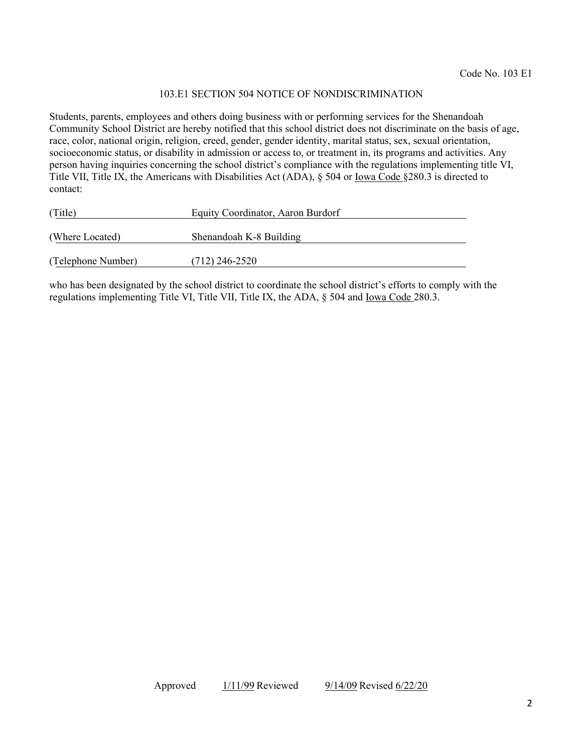## 103.E1 SECTION 504 NOTICE OF NONDISCRIMINATION

Students, parents, employees and others doing business with or performing services for the Shenandoah Community School District are hereby notified that this school district does not discriminate on the basis of age, race, color, national origin, religion, creed, gender, gender identity, marital status, sex, sexual orientation, socioeconomic status, or disability in admission or access to, or treatment in, its programs and activities. Any person having inquiries concerning the school district's compliance with the regulations implementing title VI, Title VII, Title IX, the Americans with Disabilities Act (ADA), § 504 or Iowa Code §280.3 is directed to contact:

| (Title)            | Equity Coordinator, Aaron Burdorf |  |  |
|--------------------|-----------------------------------|--|--|
| (Where Located)    | Shenandoah K-8 Building           |  |  |
| (Telephone Number) | $(712)$ 246-2520                  |  |  |

who has been designated by the school district to coordinate the school district's efforts to comply with the regulations implementing Title VI, Title VII, Title IX, the ADA, § 504 and Iowa Code 280.3.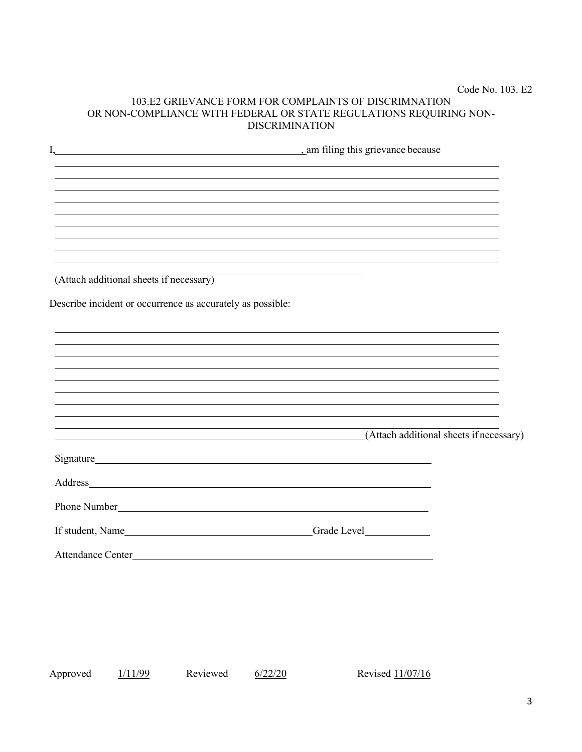# Code No. 103. E2 103.E2 GRIEVANCE FORM FOR COMPLAINTS OF DISCRIMNATION OR NON-COMPLIANCE WITH FEDERAL OR STATE REGULATIONS REQUIRING NON-DISCRIMINATION

| I,                                                         |  |                                         |  |
|------------------------------------------------------------|--|-----------------------------------------|--|
|                                                            |  |                                         |  |
|                                                            |  |                                         |  |
|                                                            |  |                                         |  |
| (Attach additional sheets if necessary)                    |  |                                         |  |
| Describe incident or occurrence as accurately as possible: |  |                                         |  |
|                                                            |  |                                         |  |
|                                                            |  |                                         |  |
|                                                            |  |                                         |  |
|                                                            |  | (Attach additional sheets if necessary) |  |
|                                                            |  |                                         |  |
|                                                            |  |                                         |  |
| Phone Number <u>Containing</u>                             |  |                                         |  |
|                                                            |  |                                         |  |
|                                                            |  |                                         |  |

Approved 1/11/99 Reviewed 6/22/20 Revised 11/07/16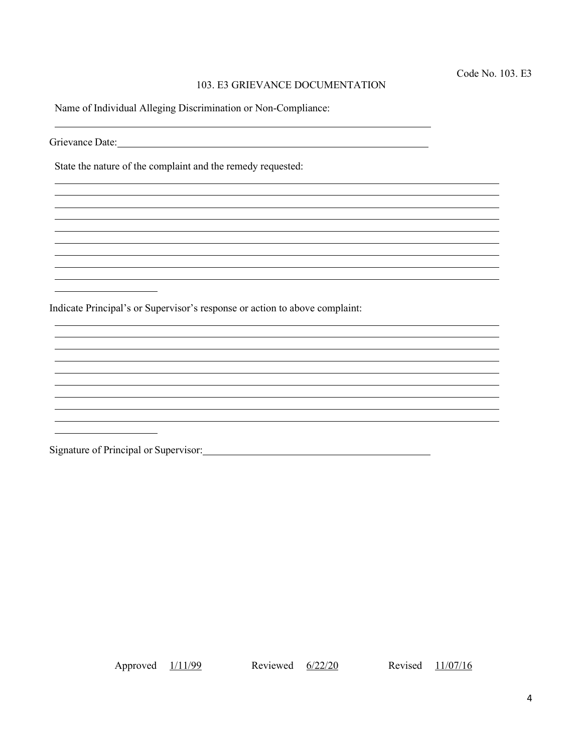# 103. E3 GRIEVANCE DOCUMENTATION

Name of Individual Alleging Discrimination or Non-Compliance:

Grievance Date: 1000 and 2000 and 2000 and 2000 and 2000 and 2000 and 2000 and 2000 and 2000 and 2000 and 2000  $\mu$ 

State the nature of the complaint and the remedy requested:

Indicate Principal's or Supervisor's response or action to above complaint:

Signature of Principal or Supervisor: Manual Alexander Andrew Manual Alexander Andrew Manual Alexander Andrew M

Approved  $\frac{1}{11/99}$  Reviewed  $\frac{6}{22/20}$  Revised  $\frac{11}{07/16}$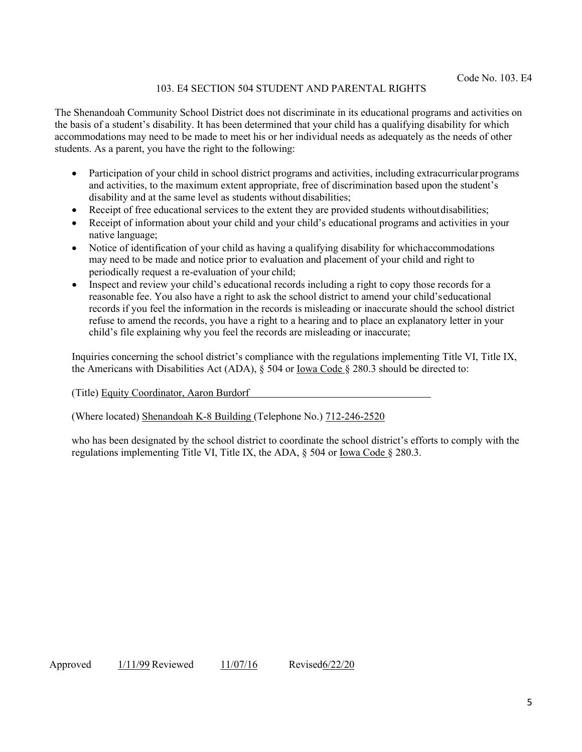# 103. E4 SECTION 504 STUDENT AND PARENTAL RIGHTS

The Shenandoah Community School District does not discriminate in its educational programs and activities on the basis of a student's disability. It has been determined that your child has a qualifying disability for which accommodations may need to be made to meet his or her individual needs as adequately as the needs of other students. As a parent, you have the right to the following:

- Participation of your child in school district programs and activities, including extracurricular programs and activities, to the maximum extent appropriate, free of discrimination based upon the student's disability and at the same level as students without disabilities;
- Receipt of free educational services to the extent they are provided students without disabilities;
- Receipt of information about your child and your child's educational programs and activities in your native language;
- Notice of identification of your child as having a qualifying disability for whichaccommodations may need to be made and notice prior to evaluation and placement of your child and right to periodically request a re-evaluation of your child;
- Inspect and review your child's educational records including a right to copy those records for a reasonable fee. You also have a right to ask the school district to amend your child'seducational records if you feel the information in the records is misleading or inaccurate should the school district refuse to amend the records, you have a right to a hearing and to place an explanatory letter in your child's file explaining why you feel the records are misleading or inaccurate;

Inquiries concerning the school district's compliance with the regulations implementing Title VI, Title IX, the Americans with Disabilities Act (ADA),  $\S$  504 or Iowa Code  $\S$  280.3 should be directed to:

(Title) Equity Coordinator, Aaron Burdorf

## (Where located) Shenandoah K-8 Building (Telephone No.) 712-246-2520

who has been designated by the school district to coordinate the school district's efforts to comply with the regulations implementing Title VI, Title IX, the ADA, § 504 or Iowa Code § 280.3.

Approved 1/11/99 Reviewed 11/07/16 Revised6/22/20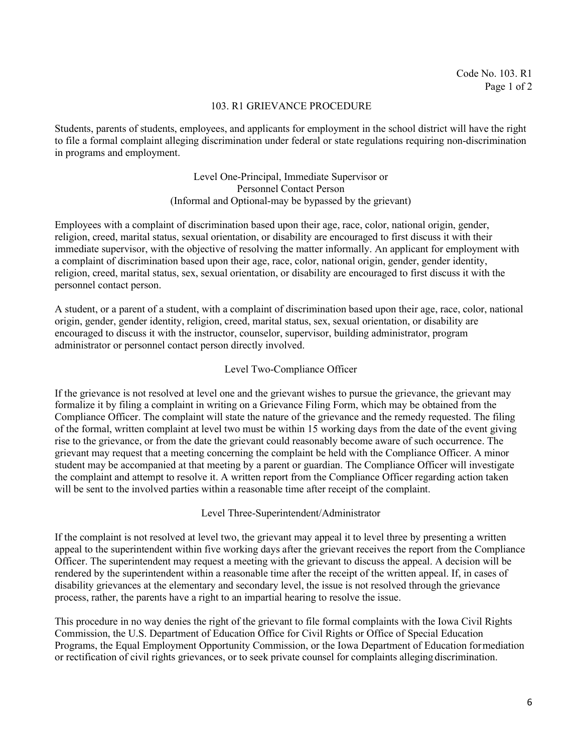#### 103. R1 GRIEVANCE PROCEDURE

Students, parents of students, employees, and applicants for employment in the school district will have the right to file a formal complaint alleging discrimination under federal or state regulations requiring non-discrimination in programs and employment.

# Level One-Principal, Immediate Supervisor or Personnel Contact Person (Informal and Optional-may be bypassed by the grievant)

Employees with a complaint of discrimination based upon their age, race, color, national origin, gender, religion, creed, marital status, sexual orientation, or disability are encouraged to first discuss it with their immediate supervisor, with the objective of resolving the matter informally. An applicant for employment with a complaint of discrimination based upon their age, race, color, national origin, gender, gender identity, religion, creed, marital status, sex, sexual orientation, or disability are encouraged to first discuss it with the personnel contact person.

A student, or a parent of a student, with a complaint of discrimination based upon their age, race, color, national origin, gender, gender identity, religion, creed, marital status, sex, sexual orientation, or disability are encouraged to discuss it with the instructor, counselor, supervisor, building administrator, program administrator or personnel contact person directly involved.

## Level Two-Compliance Officer

If the grievance is not resolved at level one and the grievant wishes to pursue the grievance, the grievant may formalize it by filing a complaint in writing on a Grievance Filing Form, which may be obtained from the Compliance Officer. The complaint will state the nature of the grievance and the remedy requested. The filing of the formal, written complaint at level two must be within 15 working days from the date of the event giving rise to the grievance, or from the date the grievant could reasonably become aware of such occurrence. The grievant may request that a meeting concerning the complaint be held with the Compliance Officer. A minor student may be accompanied at that meeting by a parent or guardian. The Compliance Officer will investigate the complaint and attempt to resolve it. A written report from the Compliance Officer regarding action taken will be sent to the involved parties within a reasonable time after receipt of the complaint.

Level Three-Superintendent/Administrator

If the complaint is not resolved at level two, the grievant may appeal it to level three by presenting a written appeal to the superintendent within five working days after the grievant receives the report from the Compliance Officer. The superintendent may request a meeting with the grievant to discuss the appeal. A decision will be rendered by the superintendent within a reasonable time after the receipt of the written appeal. If, in cases of disability grievances at the elementary and secondary level, the issue is not resolved through the grievance process, rather, the parents have a right to an impartial hearing to resolve the issue.

This procedure in no way denies the right of the grievant to file formal complaints with the Iowa Civil Rights Commission, the U.S. Department of Education Office for Civil Rights or Office of Special Education Programs, the Equal Employment Opportunity Commission, or the Iowa Department of Education formediation or rectification of civil rights grievances, or to seek private counsel for complaints alleging discrimination.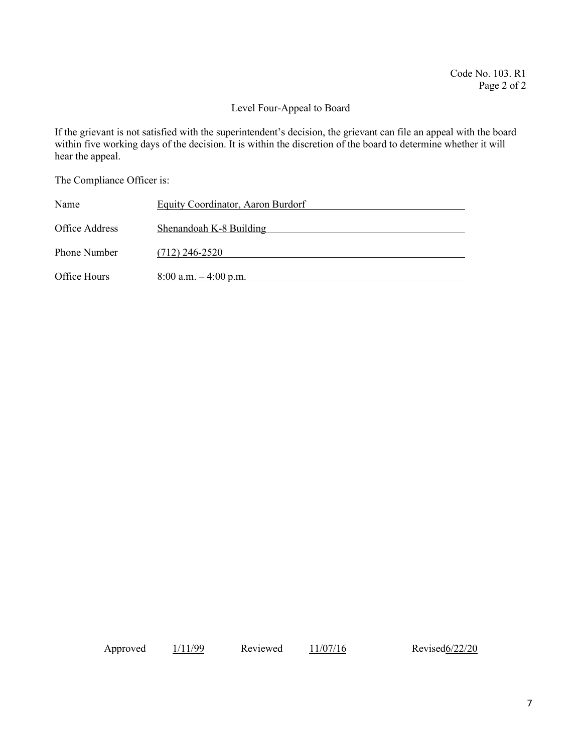#### Level Four-Appeal to Board

If the grievant is not satisfied with the superintendent's decision, the grievant can file an appeal with the board within five working days of the decision. It is within the discretion of the board to determine whether it will hear the appeal.

The Compliance Officer is:

| Name                | Equity Coordinator, Aaron Burdorf |
|---------------------|-----------------------------------|
| Office Address      | Shenandoah K-8 Building           |
| <b>Phone Number</b> | $(712)$ 246-2520                  |
| Office Hours        | $8:00$ a.m. $-4:00$ p.m.          |

Approved  $\frac{1}{11/99}$  Reviewed  $\frac{11/07/16}{9}$  Revised 6/22/20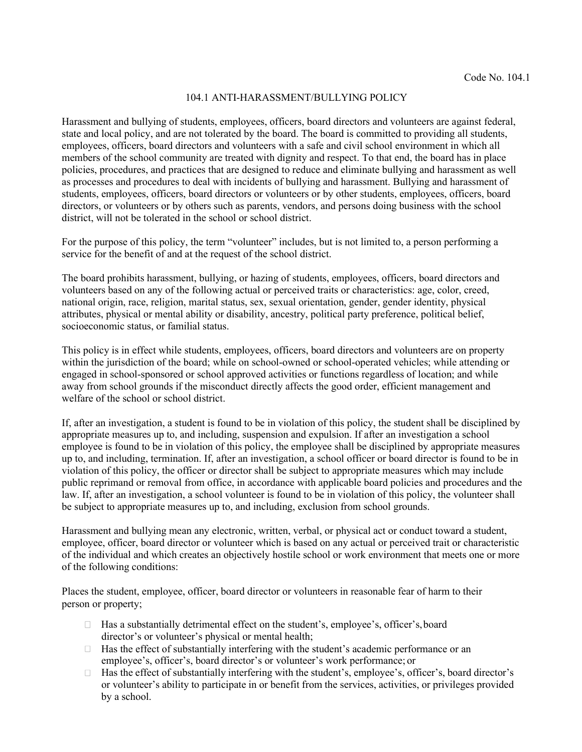#### 104.1 ANTI-HARASSMENT/BULLYING POLICY

Harassment and bullying of students, employees, officers, board directors and volunteers are against federal, state and local policy, and are not tolerated by the board. The board is committed to providing all students, employees, officers, board directors and volunteers with a safe and civil school environment in which all members of the school community are treated with dignity and respect. To that end, the board has in place policies, procedures, and practices that are designed to reduce and eliminate bullying and harassment as well as processes and procedures to deal with incidents of bullying and harassment. Bullying and harassment of students, employees, officers, board directors or volunteers or by other students, employees, officers, board directors, or volunteers or by others such as parents, vendors, and persons doing business with the school district, will not be tolerated in the school or school district.

For the purpose of this policy, the term "volunteer" includes, but is not limited to, a person performing a service for the benefit of and at the request of the school district.

The board prohibits harassment, bullying, or hazing of students, employees, officers, board directors and volunteers based on any of the following actual or perceived traits or characteristics: age, color, creed, national origin, race, religion, marital status, sex, sexual orientation, gender, gender identity, physical attributes, physical or mental ability or disability, ancestry, political party preference, political belief, socioeconomic status, or familial status.

This policy is in effect while students, employees, officers, board directors and volunteers are on property within the jurisdiction of the board; while on school-owned or school-operated vehicles; while attending or engaged in school-sponsored or school approved activities or functions regardless of location; and while away from school grounds if the misconduct directly affects the good order, efficient management and welfare of the school or school district.

If, after an investigation, a student is found to be in violation of this policy, the student shall be disciplined by appropriate measures up to, and including, suspension and expulsion. If after an investigation a school employee is found to be in violation of this policy, the employee shall be disciplined by appropriate measures up to, and including, termination. If, after an investigation, a school officer or board director is found to be in violation of this policy, the officer or director shall be subject to appropriate measures which may include public reprimand or removal from office, in accordance with applicable board policies and procedures and the law. If, after an investigation, a school volunteer is found to be in violation of this policy, the volunteer shall be subject to appropriate measures up to, and including, exclusion from school grounds.

Harassment and bullying mean any electronic, written, verbal, or physical act or conduct toward a student, employee, officer, board director or volunteer which is based on any actual or perceived trait or characteristic of the individual and which creates an objectively hostile school or work environment that meets one or more of the following conditions:

Places the student, employee, officer, board director or volunteers in reasonable fear of harm to their person or property;

- $\Box$  Has a substantially detrimental effect on the student's, employee's, officer's, board director's or volunteer's physical or mental health;
- $\Box$  Has the effect of substantially interfering with the student's academic performance or an employee's, officer's, board director's or volunteer's work performance; or
- Has the effect of substantially interfering with the student's, employee's, officer's, board director's  $\Box$ or volunteer's ability to participate in or benefit from the services, activities, or privileges provided by a school.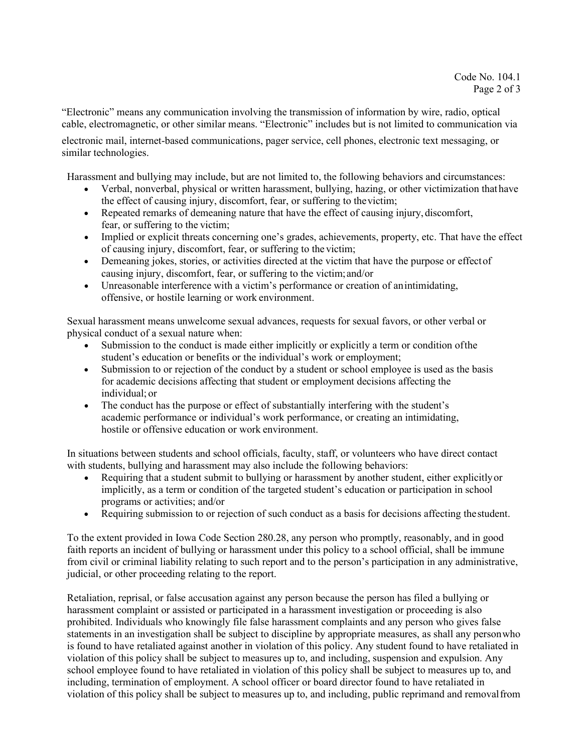"Electronic" means any communication involving the transmission of information by wire, radio, optical cable, electromagnetic, or other similar means. "Electronic" includes but is not limited to communication via electronic mail, internet-based communications, pager service, cell phones, electronic text messaging, or similar technologies.

Harassment and bullying may include, but are not limited to, the following behaviors and circumstances:

- Verbal, nonverbal, physical or written harassment, bullying, hazing, or other victimization thathave the effect of causing injury, discomfort, fear, or suffering to the victim;
- Repeated remarks of demeaning nature that have the effect of causing injury, discomfort, fear, or suffering to the victim;
- Implied or explicit threats concerning one's grades, achievements, property, etc. That have the effect of causing injury, discomfort, fear, or suffering to the victim;
- Demeaning jokes, stories, or activities directed at the victim that have the purpose or effectof causing injury, discomfort, fear, or suffering to the victim;and/or
- Unreasonable interference with a victim's performance or creation of anintimidating, offensive, or hostile learning or work environment.

Sexual harassment means unwelcome sexual advances, requests for sexual favors, or other verbal or physical conduct of a sexual nature when:

- Submission to the conduct is made either implicitly or explicitly a term or condition ofthe student's education or benefits or the individual's work or employment;
- Submission to or rejection of the conduct by a student or school employee is used as the basis for academic decisions affecting that student or employment decisions affecting the individual; or
- The conduct has the purpose or effect of substantially interfering with the student's academic performance or individual's work performance, or creating an intimidating, hostile or offensive education or work environment.

In situations between students and school officials, faculty, staff, or volunteers who have direct contact with students, bullying and harassment may also include the following behaviors:

- Requiring that a student submit to bullying or harassment by another student, either explicitly or implicitly, as a term or condition of the targeted student's education or participation in school programs or activities; and/or
- Requiring submission to or rejection of such conduct as a basis for decisions affecting thestudent.

To the extent provided in Iowa Code Section 280.28, any person who promptly, reasonably, and in good faith reports an incident of bullying or harassment under this policy to a school official, shall be immune from civil or criminal liability relating to such report and to the person's participation in any administrative, judicial, or other proceeding relating to the report.

Retaliation, reprisal, or false accusation against any person because the person has filed a bullying or harassment complaint or assisted or participated in a harassment investigation or proceeding is also prohibited. Individuals who knowingly file false harassment complaints and any person who gives false statements in an investigation shall be subject to discipline by appropriate measures, as shall any person who is found to have retaliated against another in violation of this policy. Any student found to have retaliated in violation of this policy shall be subject to measures up to, and including, suspension and expulsion. Any school employee found to have retaliated in violation of this policy shall be subject to measures up to, and including, termination of employment. A school officer or board director found to have retaliated in violation of this policy shall be subject to measures up to, and including, public reprimand and removalfrom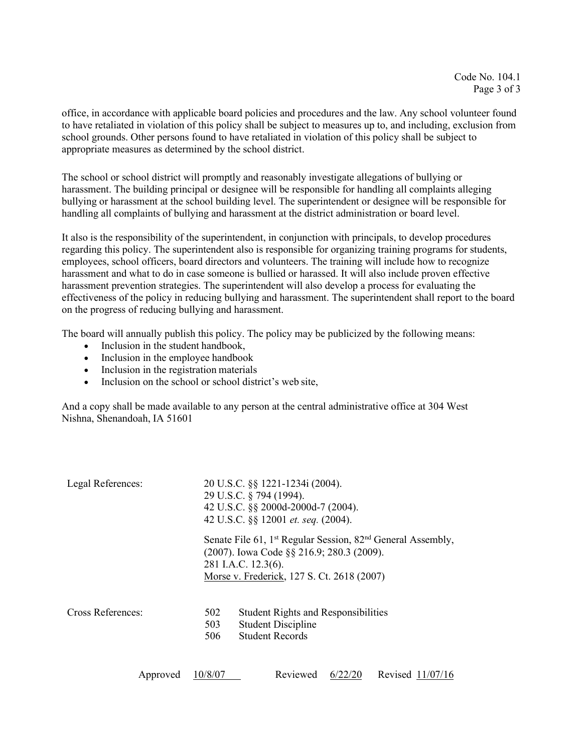office, in accordance with applicable board policies and procedures and the law. Any school volunteer found to have retaliated in violation of this policy shall be subject to measures up to, and including, exclusion from school grounds. Other persons found to have retaliated in violation of this policy shall be subject to appropriate measures as determined by the school district.

The school or school district will promptly and reasonably investigate allegations of bullying or harassment. The building principal or designee will be responsible for handling all complaints alleging bullying or harassment at the school building level. The superintendent or designee will be responsible for handling all complaints of bullying and harassment at the district administration or board level.

It also is the responsibility of the superintendent, in conjunction with principals, to develop procedures regarding this policy. The superintendent also is responsible for organizing training programs for students, employees, school officers, board directors and volunteers. The training will include how to recognize harassment and what to do in case someone is bullied or harassed. It will also include proven effective harassment prevention strategies. The superintendent will also develop a process for evaluating the effectiveness of the policy in reducing bullying and harassment. The superintendent shall report to the board on the progress of reducing bullying and harassment.

The board will annually publish this policy. The policy may be publicized by the following means:

- Inclusion in the student handbook,
- Inclusion in the employee handbook
- Inclusion in the registration materials
- Inclusion on the school or school district's web site.

And a copy shall be made available to any person at the central administrative office at 304 West Nishna, Shenandoah, IA 51601

| Legal References: | 20 U.S.C. §§ 1221-1234i (2004).<br>29 U.S.C. § 794 (1994).<br>42 U.S.C. §§ 2000d-2000d-7 (2004).<br>42 U.S.C. §§ 12001 et. seq. (2004).<br>Senate File 61, 1 <sup>st</sup> Regular Session, 82 <sup>nd</sup> General Assembly,<br>(2007). Iowa Code §§ 216.9; 280.3 (2009).<br>281 I.A.C. 12.3(6).<br>Morse v. Frederick, 127 S. Ct. 2618 (2007) |                                                                                                   |
|-------------------|--------------------------------------------------------------------------------------------------------------------------------------------------------------------------------------------------------------------------------------------------------------------------------------------------------------------------------------------------|---------------------------------------------------------------------------------------------------|
|                   |                                                                                                                                                                                                                                                                                                                                                  |                                                                                                   |
| Cross References: | 502<br>503<br>506                                                                                                                                                                                                                                                                                                                                | <b>Student Rights and Responsibilities</b><br><b>Student Discipline</b><br><b>Student Records</b> |

Approved 10/8/07 Reviewed 6/22/20 Revised 11/07/16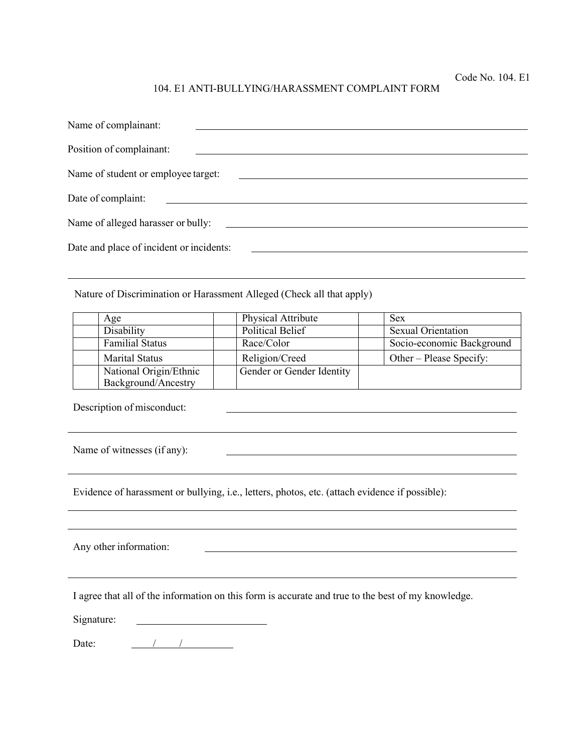#### 104. E1 ANTI-BULLYING/HARASSMENT COMPLAINT FORM

| Name of complainant:                     |                                                                                                                      |
|------------------------------------------|----------------------------------------------------------------------------------------------------------------------|
| Position of complainant:                 |                                                                                                                      |
| Name of student or employee target:      |                                                                                                                      |
| Date of complaint:                       | <u> 1989 - Jan Samuel Barbara, martin da shekara 1989 - An tsa a tsa a tsa a tsa a tsa a tsa a tsa a tsa a tsa a</u> |
| Name of alleged harasser or bully:       |                                                                                                                      |
| Date and place of incident or incidents: |                                                                                                                      |

Nature of Discrimination or Harassment Alleged (Check all that apply)

| Age                                           | <b>Physical Attribute</b> | <b>Sex</b>                |
|-----------------------------------------------|---------------------------|---------------------------|
| Disability                                    | <b>Political Belief</b>   | <b>Sexual Orientation</b> |
| <b>Familial Status</b>                        | Race/Color                | Socio-economic Background |
| <b>Marital Status</b>                         | Religion/Creed            | Other – Please Specify:   |
| National Origin/Ethnic<br>Background/Ancestry | Gender or Gender Identity |                           |

Description of misconduct:

Name of witnesses (if any):

Evidence of harassment or bullying, i.e., letters, photos, etc. (attach evidence if possible):

Any other information:

I agree that all of the information on this form is accurate and true to the best of my knowledge.

Signature: <u>and the contract of the contract of the contract of the contract of the contract of the contract of the contract of the contract of the contract of the contract of the contract of the contract of the contract of the contr</u>

Date: / /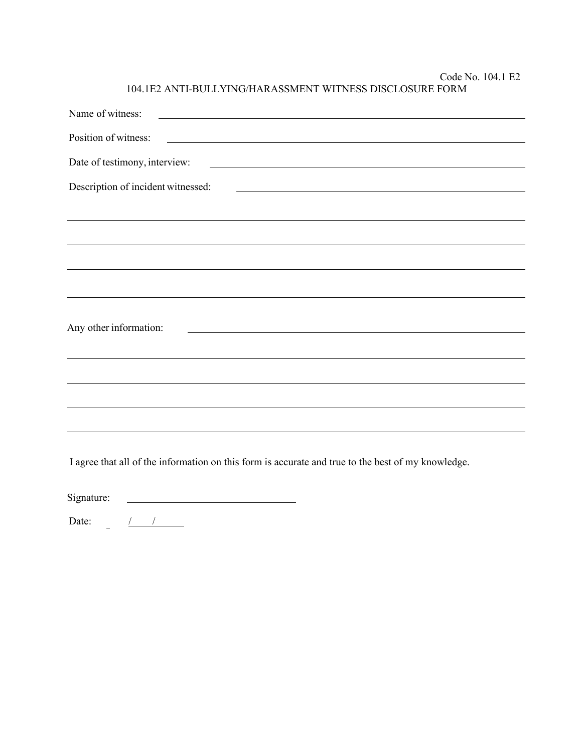Code No. 104.1 E2 104.1E2 ANTI-BULLYING/HARASSMENT WITNESS DISCLOSURE FORM

| Name of witness:<br><u> Andreas Andreas Andreas Andreas Andreas Andreas Andreas Andreas Andreas Andreas Andreas Andreas Andreas Andreas Andreas Andreas Andreas Andreas Andreas Andreas Andreas Andreas Andreas Andreas Andreas Andreas Andreas Andr</u> |
|----------------------------------------------------------------------------------------------------------------------------------------------------------------------------------------------------------------------------------------------------------|
| Position of witness:<br><u> 1989 - Johann Harry Harry Harry Harry Harry Harry Harry Harry Harry Harry Harry Harry Harry Harry Harry Harry</u>                                                                                                            |
| Date of testimony, interview:<br><u> 1980 - Johann Stein, markin fan it ferstjer fan de ferstjer fan it ferstjer fan de ferstjer fan de ferstjer</u>                                                                                                     |
| Description of incident witnessed:<br><u> 1989 - Johann Harry Harry Harry Harry Harry Harry Harry Harry Harry Harry Harry Harry Harry Harry Harry Harry</u>                                                                                              |
|                                                                                                                                                                                                                                                          |
|                                                                                                                                                                                                                                                          |
|                                                                                                                                                                                                                                                          |
|                                                                                                                                                                                                                                                          |
|                                                                                                                                                                                                                                                          |
| Any other information:<br><u> 1980 - Johann Barn, mars ann an t-Amhain Aonaich an t-Aonaich an t-Aonaich ann an t-Aonaich ann an t-Aonaich</u>                                                                                                           |
|                                                                                                                                                                                                                                                          |
|                                                                                                                                                                                                                                                          |
|                                                                                                                                                                                                                                                          |
|                                                                                                                                                                                                                                                          |
|                                                                                                                                                                                                                                                          |

I agree that all of the information on this form is accurate and true to the best of my knowledge.

<u> 2000 - Andrea Andrew Maria (h. 1</u> Signature:

Date: / /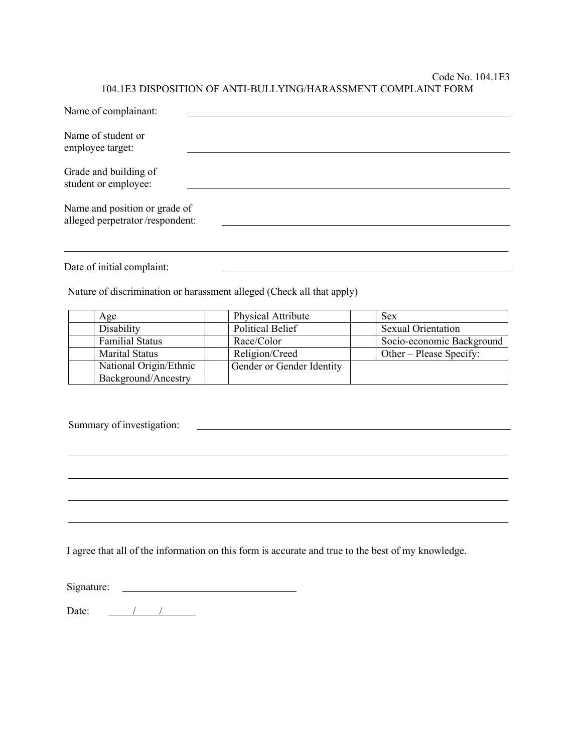#### Code No. 104.1E3 104.1E3 DISPOSITION OF ANTI-BULLYING/HARASSMENT COMPLAINT FORM

| Name of complainant:                                             |                                                                       |                                              |
|------------------------------------------------------------------|-----------------------------------------------------------------------|----------------------------------------------|
| Name of student or<br>employee target:                           |                                                                       |                                              |
| Grade and building of<br>student or employee:                    |                                                                       |                                              |
| Name and position or grade of<br>alleged perpetrator/respondent: |                                                                       |                                              |
| Date of initial complaint:                                       |                                                                       |                                              |
|                                                                  | Nature of discrimination or harassment alleged (Check all that apply) |                                              |
| Age                                                              | Physical Attribute                                                    | <b>Sex</b>                                   |
| Disability                                                       | Political Belief                                                      | <b>Sexual Orientation</b>                    |
| <b>Familial Status</b>                                           | Race/Color                                                            | Socio-economic Background                    |
| $\mathbf{M}$ $\mathbf{M}$                                        | $\mathbf{D}$ 1 $\mathbf{A}$ $\mathbf{C}$ 1                            | $\Omega$ $\Omega$ $\Omega$ $\Omega$ $\Omega$ |

| Age                    | Physical Attribute        | Sex                       |
|------------------------|---------------------------|---------------------------|
| Disability             | <b>Political Belief</b>   | <b>Sexual Orientation</b> |
| <b>Familial Status</b> | Race/Color                | Socio-economic Background |
| <b>Marital Status</b>  | Religion/Creed            | Other – Please Specify:   |
| National Origin/Ethnic | Gender or Gender Identity |                           |
| Background/Ancestry    |                           |                           |

Summary of investigation:

I agree that all of the information on this form is accurate and true to the best of my knowledge.

Signature:

Date:  $\frac{1}{\sqrt{1-\frac{1}{2}}}\frac{1}{\sqrt{1-\frac{1}{2}}}\frac{1}{\sqrt{1-\frac{1}{2}}}\frac{1}{\sqrt{1-\frac{1}{2}}}\frac{1}{\sqrt{1-\frac{1}{2}}}\frac{1}{\sqrt{1-\frac{1}{2}}}\frac{1}{\sqrt{1-\frac{1}{2}}}\frac{1}{\sqrt{1-\frac{1}{2}}}\frac{1}{\sqrt{1-\frac{1}{2}}}\frac{1}{\sqrt{1-\frac{1}{2}}}\frac{1}{\sqrt{1-\frac{1}{2}}}\frac{1}{\sqrt{1-\frac{1}{2}}}\frac{1}{\sqrt{1-\frac{1}{2}}}\frac{1}{\$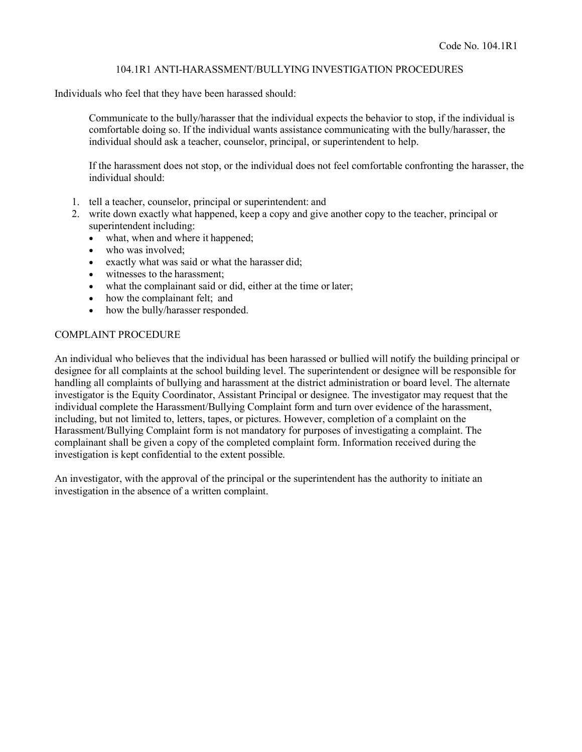#### 104.1R1 ANTI-HARASSMENT/BULLYING INVESTIGATION PROCEDURES

Individuals who feel that they have been harassed should:

Communicate to the bully/harasser that the individual expects the behavior to stop, if the individual is comfortable doing so. If the individual wants assistance communicating with the bully/harasser, the individual should ask a teacher, counselor, principal, or superintendent to help.

If the harassment does not stop, or the individual does not feel comfortable confronting the harasser, the individual should:

- 1. tell a teacher, counselor, principal or superintendent: and
- 2. write down exactly what happened, keep a copy and give another copy to the teacher, principal or superintendent including:
	- what, when and where it happened;
	- who was involved;
	- exactly what was said or what the harasser did;
	- witnesses to the harassment:
	- what the complainant said or did, either at the time or later;
	- how the complainant felt; and
	- how the bully/harasser responded.

#### COMPLAINT PROCEDURE

An individual who believes that the individual has been harassed or bullied will notify the building principal or designee for all complaints at the school building level. The superintendent or designee will be responsible for handling all complaints of bullying and harassment at the district administration or board level. The alternate investigator is the Equity Coordinator, Assistant Principal or designee. The investigator may request that the individual complete the Harassment/Bullying Complaint form and turn over evidence of the harassment, including, but not limited to, letters, tapes, or pictures. However, completion of a complaint on the Harassment/Bullying Complaint form is not mandatory for purposes of investigating a complaint. The complainant shall be given a copy of the completed complaint form. Information received during the investigation is kept confidential to the extent possible.

An investigator, with the approval of the principal or the superintendent has the authority to initiate an investigation in the absence of a written complaint.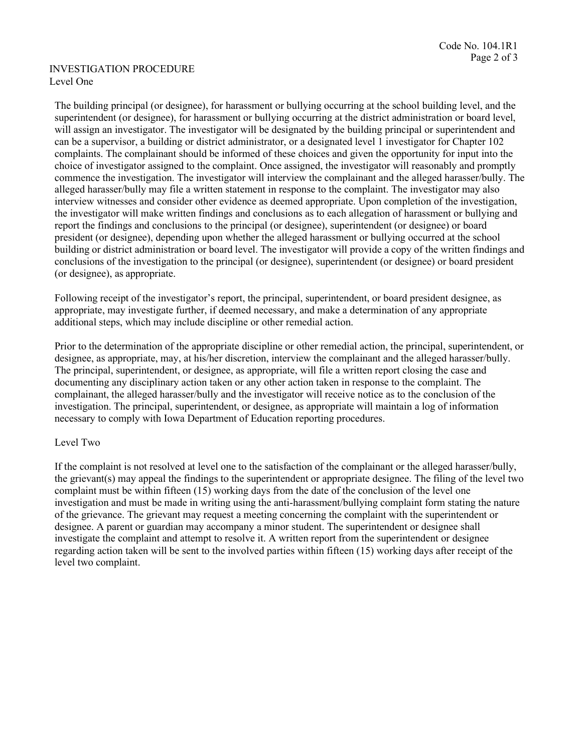#### INVESTIGATION PROCEDURE Level One

The building principal (or designee), for harassment or bullying occurring at the school building level, and the superintendent (or designee), for harassment or bullying occurring at the district administration or board level, will assign an investigator. The investigator will be designated by the building principal or superintendent and can be a supervisor, a building or district administrator, or a designated level 1 investigator for Chapter 102 complaints. The complainant should be informed of these choices and given the opportunity for input into the choice of investigator assigned to the complaint. Once assigned, the investigator will reasonably and promptly commence the investigation. The investigator will interview the complainant and the alleged harasser/bully. The alleged harasser/bully may file a written statement in response to the complaint. The investigator may also interview witnesses and consider other evidence as deemed appropriate. Upon completion of the investigation, the investigator will make written findings and conclusions as to each allegation of harassment or bullying and report the findings and conclusions to the principal (or designee), superintendent (or designee) or board president (or designee), depending upon whether the alleged harassment or bullying occurred at the school building or district administration or board level. The investigator will provide a copy of the written findings and conclusions of the investigation to the principal (or designee), superintendent (or designee) or board president (or designee), as appropriate.

Following receipt of the investigator's report, the principal, superintendent, or board president designee, as appropriate, may investigate further, if deemed necessary, and make a determination of any appropriate additional steps, which may include discipline or other remedial action.

Prior to the determination of the appropriate discipline or other remedial action, the principal, superintendent, or designee, as appropriate, may, at his/her discretion, interview the complainant and the alleged harasser/bully. The principal, superintendent, or designee, as appropriate, will file a written report closing the case and documenting any disciplinary action taken or any other action taken in response to the complaint. The complainant, the alleged harasser/bully and the investigator will receive notice as to the conclusion of the investigation. The principal, superintendent, or designee, as appropriate will maintain a log of information necessary to comply with Iowa Department of Education reporting procedures.

## Level Two

If the complaint is not resolved at level one to the satisfaction of the complainant or the alleged harasser/bully, the grievant(s) may appeal the findings to the superintendent or appropriate designee. The filing of the level two complaint must be within fifteen (15) working days from the date of the conclusion of the level one investigation and must be made in writing using the anti-harassment/bullying complaint form stating the nature of the grievance. The grievant may request a meeting concerning the complaint with the superintendent or designee. A parent or guardian may accompany a minor student. The superintendent or designee shall investigate the complaint and attempt to resolve it. A written report from the superintendent or designee regarding action taken will be sent to the involved parties within fifteen (15) working days after receipt of the level two complaint.